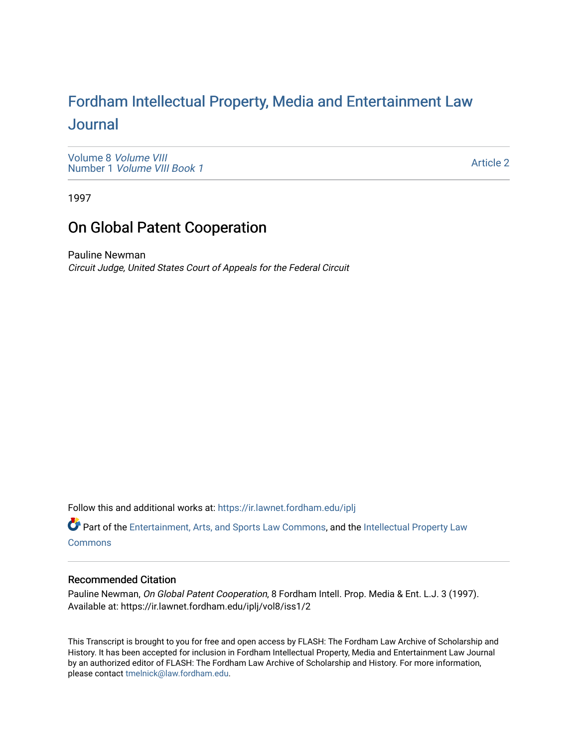# For[dham Intellectual Property, Media and Enter](https://ir.lawnet.fordham.edu/iplj)tainment Law [Journal](https://ir.lawnet.fordham.edu/iplj)

[Volume 8](https://ir.lawnet.fordham.edu/iplj/vol8) Volume VIII Number 1 [Volume VIII Book 1](https://ir.lawnet.fordham.edu/iplj/vol8/iss1)

[Article 2](https://ir.lawnet.fordham.edu/iplj/vol8/iss1/2) 

1997

# On Global Patent Cooperation

Pauline Newman Circuit Judge, United States Court of Appeals for the Federal Circuit

Follow this and additional works at: [https://ir.lawnet.fordham.edu/iplj](https://ir.lawnet.fordham.edu/iplj?utm_source=ir.lawnet.fordham.edu%2Fiplj%2Fvol8%2Fiss1%2F2&utm_medium=PDF&utm_campaign=PDFCoverPages) 

Part of the [Entertainment, Arts, and Sports Law Commons](http://network.bepress.com/hgg/discipline/893?utm_source=ir.lawnet.fordham.edu%2Fiplj%2Fvol8%2Fiss1%2F2&utm_medium=PDF&utm_campaign=PDFCoverPages), and the [Intellectual Property Law](http://network.bepress.com/hgg/discipline/896?utm_source=ir.lawnet.fordham.edu%2Fiplj%2Fvol8%2Fiss1%2F2&utm_medium=PDF&utm_campaign=PDFCoverPages) [Commons](http://network.bepress.com/hgg/discipline/896?utm_source=ir.lawnet.fordham.edu%2Fiplj%2Fvol8%2Fiss1%2F2&utm_medium=PDF&utm_campaign=PDFCoverPages)

# Recommended Citation

Pauline Newman, On Global Patent Cooperation, 8 Fordham Intell. Prop. Media & Ent. L.J. 3 (1997). Available at: https://ir.lawnet.fordham.edu/iplj/vol8/iss1/2

This Transcript is brought to you for free and open access by FLASH: The Fordham Law Archive of Scholarship and History. It has been accepted for inclusion in Fordham Intellectual Property, Media and Entertainment Law Journal by an authorized editor of FLASH: The Fordham Law Archive of Scholarship and History. For more information, please contact [tmelnick@law.fordham.edu](mailto:tmelnick@law.fordham.edu).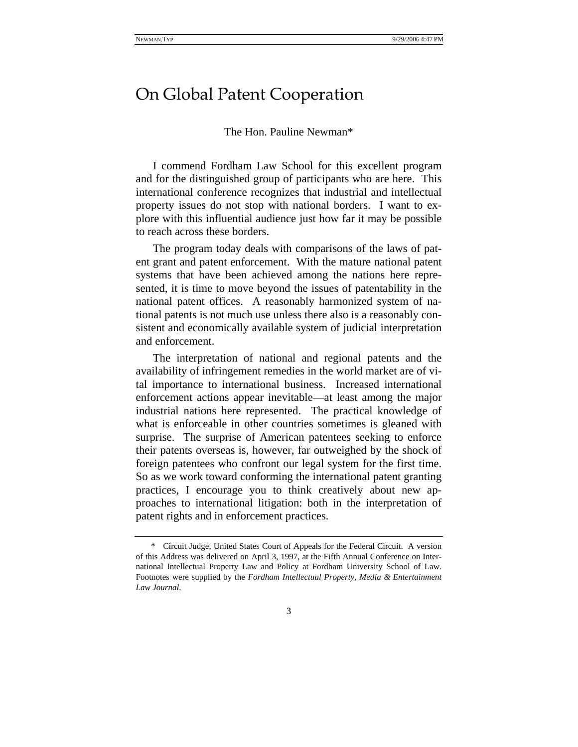# On Global Patent Cooperation

### The Hon. Pauline Newman\*

I commend Fordham Law School for this excellent program and for the distinguished group of participants who are here. This international conference recognizes that industrial and intellectual property issues do not stop with national borders. I want to explore with this influential audience just how far it may be possible to reach across these borders.

The program today deals with comparisons of the laws of patent grant and patent enforcement. With the mature national patent systems that have been achieved among the nations here represented, it is time to move beyond the issues of patentability in the national patent offices. A reasonably harmonized system of national patents is not much use unless there also is a reasonably consistent and economically available system of judicial interpretation and enforcement.

The interpretation of national and regional patents and the availability of infringement remedies in the world market are of vital importance to international business. Increased international enforcement actions appear inevitable—at least among the major industrial nations here represented. The practical knowledge of what is enforceable in other countries sometimes is gleaned with surprise. The surprise of American patentees seeking to enforce their patents overseas is, however, far outweighed by the shock of foreign patentees who confront our legal system for the first time. So as we work toward conforming the international patent granting practices, I encourage you to think creatively about new approaches to international litigation: both in the interpretation of patent rights and in enforcement practices.

<sup>\*</sup> Circuit Judge, United States Court of Appeals for the Federal Circuit. A version of this Address was delivered on April 3, 1997, at the Fifth Annual Conference on International Intellectual Property Law and Policy at Fordham University School of Law. Footnotes were supplied by the *Fordham Intellectual Property, Media & Entertainment Law Journal*.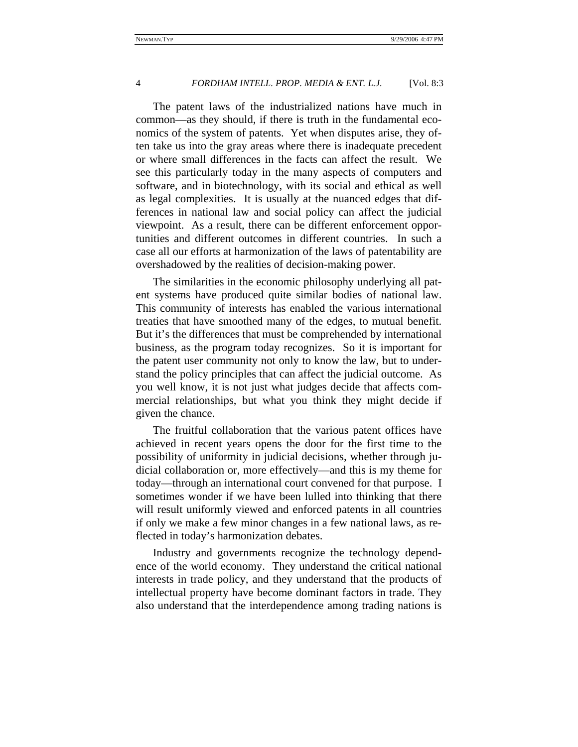#### 4 *FORDHAM INTELL. PROP. MEDIA & ENT. L.J.* [Vol. 8:3]

The patent laws of the industrialized nations have much in common—as they should, if there is truth in the fundamental economics of the system of patents. Yet when disputes arise, they often take us into the gray areas where there is inadequate precedent or where small differences in the facts can affect the result. We see this particularly today in the many aspects of computers and software, and in biotechnology, with its social and ethical as well as legal complexities. It is usually at the nuanced edges that differences in national law and social policy can affect the judicial viewpoint. As a result, there can be different enforcement opportunities and different outcomes in different countries. In such a case all our efforts at harmonization of the laws of patentability are overshadowed by the realities of decision-making power.

The similarities in the economic philosophy underlying all patent systems have produced quite similar bodies of national law. This community of interests has enabled the various international treaties that have smoothed many of the edges, to mutual benefit. But it's the differences that must be comprehended by international business, as the program today recognizes. So it is important for the patent user community not only to know the law, but to understand the policy principles that can affect the judicial outcome. As you well know, it is not just what judges decide that affects commercial relationships, but what you think they might decide if given the chance.

The fruitful collaboration that the various patent offices have achieved in recent years opens the door for the first time to the possibility of uniformity in judicial decisions, whether through judicial collaboration or, more effectively—and this is my theme for today—through an international court convened for that purpose. I sometimes wonder if we have been lulled into thinking that there will result uniformly viewed and enforced patents in all countries if only we make a few minor changes in a few national laws, as reflected in today's harmonization debates.

Industry and governments recognize the technology dependence of the world economy. They understand the critical national interests in trade policy, and they understand that the products of intellectual property have become dominant factors in trade. They also understand that the interdependence among trading nations is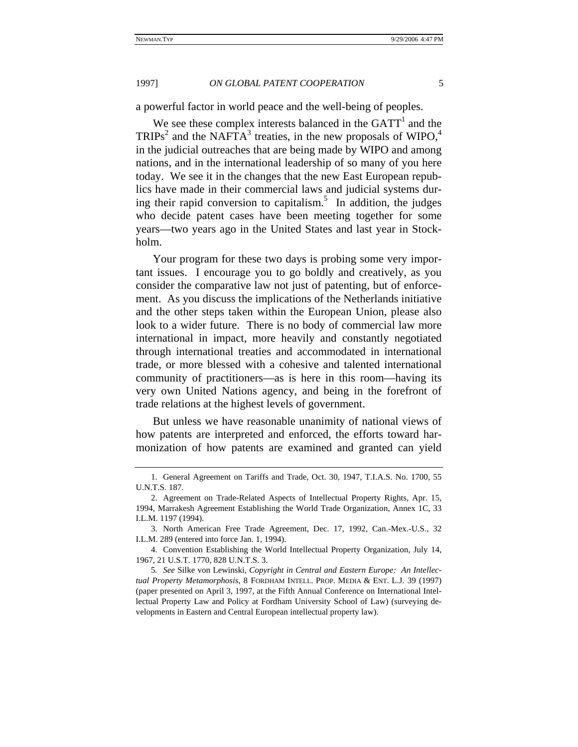#### 1997] *ON GLOBAL PATENT COOPERATION* 5

a powerful factor in world peace and the well-being of peoples.

We see these complex interests balanced in the  $GATT<sup>1</sup>$  and the  $TRIPS<sup>2</sup>$  and the NAFTA<sup>3</sup> treaties, in the new proposals of WIPO,<sup>4</sup> in the judicial outreaches that are being made by WIPO and among nations, and in the international leadership of so many of you here today. We see it in the changes that the new East European republics have made in their commercial laws and judicial systems during their rapid conversion to capitalism.<sup>5</sup> In addition, the judges who decide patent cases have been meeting together for some years—two years ago in the United States and last year in Stockholm.

Your program for these two days is probing some very important issues. I encourage you to go boldly and creatively, as you consider the comparative law not just of patenting, but of enforcement. As you discuss the implications of the Netherlands initiative and the other steps taken within the European Union, please also look to a wider future. There is no body of commercial law more international in impact, more heavily and constantly negotiated through international treaties and accommodated in international trade, or more blessed with a cohesive and talented international community of practitioners—as is here in this room—having its very own United Nations agency, and being in the forefront of trade relations at the highest levels of government.

But unless we have reasonable unanimity of national views of how patents are interpreted and enforced, the efforts toward harmonization of how patents are examined and granted can yield

<sup>1.</sup> General Agreement on Tariffs and Trade, Oct. 30, 1947, T.I.A.S. No. 1700, 55 U.N.T.S. 187.

<sup>2.</sup> Agreement on Trade-Related Aspects of Intellectual Property Rights, Apr. 15, 1994, Marrakesh Agreement Establishing the World Trade Organization, Annex 1C, 33 I.L.M. 1197 (1994).

<sup>3.</sup> North American Free Trade Agreement, Dec. 17, 1992, Can.-Mex.-U.S., 32 I.L.M. 289 (entered into force Jan. 1, 1994).

<sup>4.</sup> Convention Establishing the World Intellectual Property Organization, July 14, 1967, 21 U.S.T. 1770, 828 U.N.T.S. 3.

<sup>5</sup>*. See* Silke von Lewinski, *Copyright in Central and Eastern Europe: An Intellectual Property Metamorphosis*, 8 FORDHAM INTELL. PROP. MEDIA & ENT. L.J. 39 (1997) (paper presented on April 3, 1997, at the Fifth Annual Conference on International Intellectual Property Law and Policy at Fordham University School of Law) (surveying developments in Eastern and Central European intellectual property law).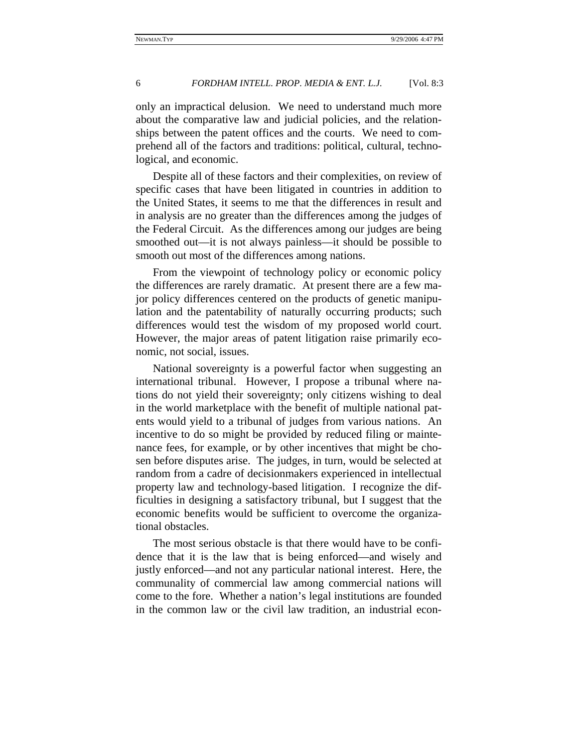### 6 *FORDHAM INTELL. PROP. MEDIA & ENT. L.J.* [Vol. 8:3

only an impractical delusion. We need to understand much more about the comparative law and judicial policies, and the relationships between the patent offices and the courts. We need to comprehend all of the factors and traditions: political, cultural, technological, and economic.

Despite all of these factors and their complexities, on review of specific cases that have been litigated in countries in addition to the United States, it seems to me that the differences in result and in analysis are no greater than the differences among the judges of the Federal Circuit. As the differences among our judges are being smoothed out—it is not always painless—it should be possible to smooth out most of the differences among nations.

From the viewpoint of technology policy or economic policy the differences are rarely dramatic. At present there are a few major policy differences centered on the products of genetic manipulation and the patentability of naturally occurring products; such differences would test the wisdom of my proposed world court. However, the major areas of patent litigation raise primarily economic, not social, issues.

National sovereignty is a powerful factor when suggesting an international tribunal. However, I propose a tribunal where nations do not yield their sovereignty; only citizens wishing to deal in the world marketplace with the benefit of multiple national patents would yield to a tribunal of judges from various nations. An incentive to do so might be provided by reduced filing or maintenance fees, for example, or by other incentives that might be chosen before disputes arise. The judges, in turn, would be selected at random from a cadre of decisionmakers experienced in intellectual property law and technology-based litigation. I recognize the difficulties in designing a satisfactory tribunal, but I suggest that the economic benefits would be sufficient to overcome the organizational obstacles.

The most serious obstacle is that there would have to be confidence that it is the law that is being enforced—and wisely and justly enforced—and not any particular national interest. Here, the communality of commercial law among commercial nations will come to the fore. Whether a nation's legal institutions are founded in the common law or the civil law tradition, an industrial econ-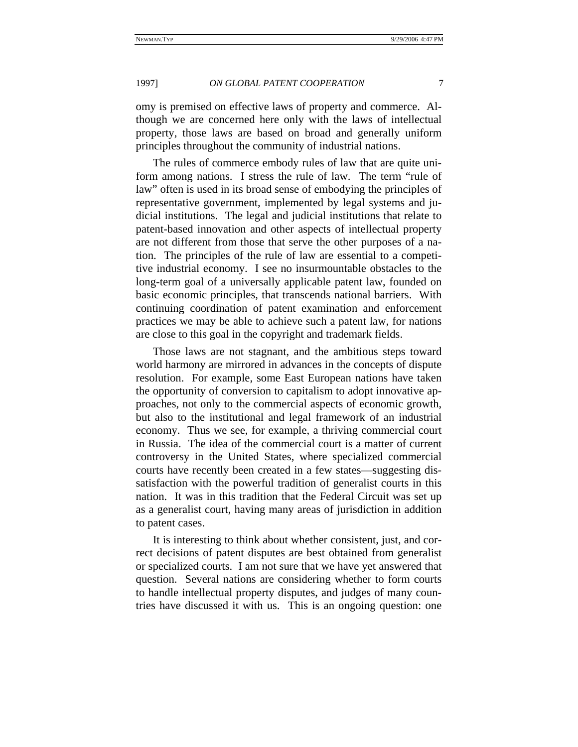# 1997] *ON GLOBAL PATENT COOPERATION* 7

omy is premised on effective laws of property and commerce. Although we are concerned here only with the laws of intellectual property, those laws are based on broad and generally uniform principles throughout the community of industrial nations.

The rules of commerce embody rules of law that are quite uniform among nations. I stress the rule of law. The term "rule of law" often is used in its broad sense of embodying the principles of representative government, implemented by legal systems and judicial institutions. The legal and judicial institutions that relate to patent-based innovation and other aspects of intellectual property are not different from those that serve the other purposes of a nation. The principles of the rule of law are essential to a competitive industrial economy. I see no insurmountable obstacles to the long-term goal of a universally applicable patent law, founded on basic economic principles, that transcends national barriers. With continuing coordination of patent examination and enforcement practices we may be able to achieve such a patent law, for nations are close to this goal in the copyright and trademark fields.

Those laws are not stagnant, and the ambitious steps toward world harmony are mirrored in advances in the concepts of dispute resolution. For example, some East European nations have taken the opportunity of conversion to capitalism to adopt innovative approaches, not only to the commercial aspects of economic growth, but also to the institutional and legal framework of an industrial economy. Thus we see, for example, a thriving commercial court in Russia. The idea of the commercial court is a matter of current controversy in the United States, where specialized commercial courts have recently been created in a few states—suggesting dissatisfaction with the powerful tradition of generalist courts in this nation. It was in this tradition that the Federal Circuit was set up as a generalist court, having many areas of jurisdiction in addition to patent cases.

It is interesting to think about whether consistent, just, and correct decisions of patent disputes are best obtained from generalist or specialized courts. I am not sure that we have yet answered that question. Several nations are considering whether to form courts to handle intellectual property disputes, and judges of many countries have discussed it with us. This is an ongoing question: one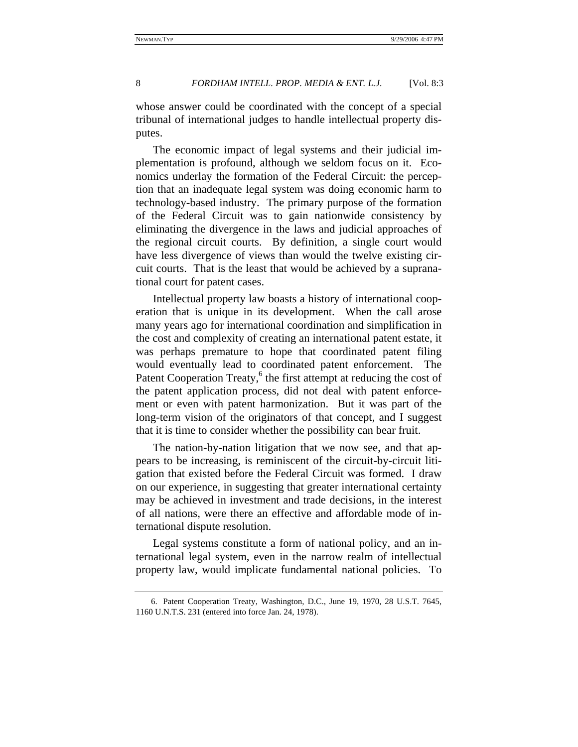## 8 *FORDHAM INTELL. PROP. MEDIA & ENT. L.J.* [Vol. 8:3]

whose answer could be coordinated with the concept of a special tribunal of international judges to handle intellectual property disputes.

The economic impact of legal systems and their judicial implementation is profound, although we seldom focus on it. Economics underlay the formation of the Federal Circuit: the perception that an inadequate legal system was doing economic harm to technology-based industry. The primary purpose of the formation of the Federal Circuit was to gain nationwide consistency by eliminating the divergence in the laws and judicial approaches of the regional circuit courts. By definition, a single court would have less divergence of views than would the twelve existing circuit courts. That is the least that would be achieved by a supranational court for patent cases.

Intellectual property law boasts a history of international cooperation that is unique in its development. When the call arose many years ago for international coordination and simplification in the cost and complexity of creating an international patent estate, it was perhaps premature to hope that coordinated patent filing would eventually lead to coordinated patent enforcement. The Patent Cooperation Treaty,<sup>6</sup> the first attempt at reducing the cost of the patent application process, did not deal with patent enforcement or even with patent harmonization. But it was part of the long-term vision of the originators of that concept, and I suggest that it is time to consider whether the possibility can bear fruit.

The nation-by-nation litigation that we now see, and that appears to be increasing, is reminiscent of the circuit-by-circuit litigation that existed before the Federal Circuit was formed. I draw on our experience, in suggesting that greater international certainty may be achieved in investment and trade decisions, in the interest of all nations, were there an effective and affordable mode of international dispute resolution.

Legal systems constitute a form of national policy, and an international legal system, even in the narrow realm of intellectual property law, would implicate fundamental national policies. To

<sup>6.</sup> Patent Cooperation Treaty, Washington, D.C., June 19, 1970, 28 U.S.T. 7645, 1160 U.N.T.S. 231 (entered into force Jan. 24, 1978).